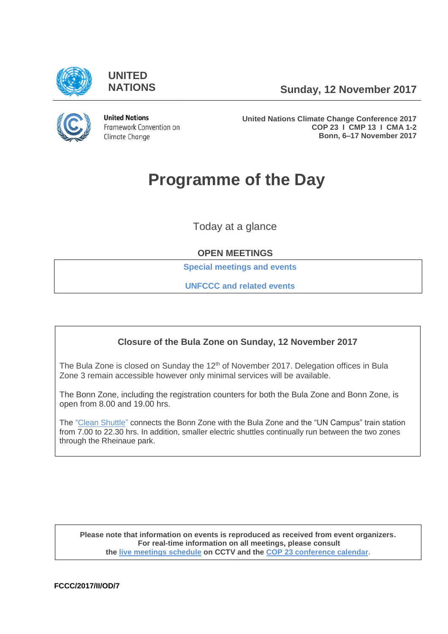

**UNITED**

**NATIONS Sunday, 12 November 2017**



**United Nations** Framework Convention on Climate Change

**United Nations Climate Change Conference 2017 COP 23 I CMP 13 I CMA 1-2 Bonn, 6–17 November 2017**

# **Programme of the Day**

Today at a glance

## **OPEN MEETINGS**

**[Special meetings and events](#page-3-0)**

**[UNFCCC and related events](#page-3-1)**

# **Closure of the Bula Zone on Sunday, 12 November 2017**

The Bula Zone is closed on Sunday the 12<sup>th</sup> of November 2017. Delegation offices in Bula Zone 3 remain accessible however only minimal services will be available.

The Bonn Zone, including the registration counters for both the Bula Zone and Bonn Zone, is open from 8.00 and 19.00 hrs.

The ["Clean Shuttle"](http://www.cleanshuttle-bonn.com/index.html) connects the Bonn Zone with the Bula Zone and the "UN Campus" train station from 7.00 to 22.30 hrs. In addition, smaller electric shuttles continually run between the two zones through the Rheinaue park.

**Please note that information on events is reproduced as received from event organizers. For real-time information on all meetings, please consult the [live meetings schedule](https://grandreserva.unfccc.int/grandreserva/public/schedule?time=2017%2F11%2F12&conference_id=70&meeting_type=&body=&webcast=0) on CCTV and the [COP 23 conference calendar.](https://cop23.unfccc.int/calendar)**

**FCCC/2017/II/OD/7**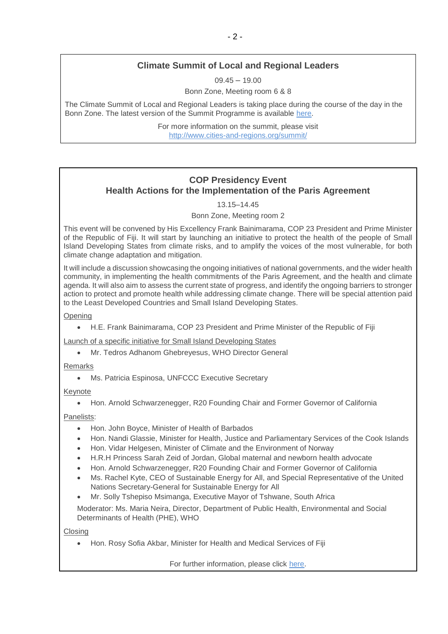## **Climate Summit of Local and Regional Leaders**

 $09.45 - 19.00$ 

Bonn Zone, Meeting room 6 & 8

The Climate Summit of Local and Regional Leaders is taking place during the course of the day in the Bonn Zone. The latest version of the Summit Programme is available [here.](http://www.cities-and-regions.org/cop23/wp-content/uploads/2017/11/Summit-online-program.pdf)

> For more information on the summit, please visit <http://www.cities-and-regions.org/summit/>

## **COP Presidency Event Health Actions for the Implementation of the Paris Agreement**

13.15–14.45

Bonn Zone, Meeting room 2

This event will be convened by His Excellency Frank Bainimarama, COP 23 President and Prime Minister of the Republic of Fiji. It will start by launching an initiative to protect the health of the people of Small Island Developing States from climate risks, and to amplify the voices of the most vulnerable, for both climate change adaptation and mitigation.

It will include a discussion showcasing the ongoing initiatives of national governments, and the wider health community, in implementing the health commitments of the Paris Agreement, and the health and climate agenda. It will also aim to assess the current state of progress, and identify the ongoing barriers to stronger action to protect and promote health while addressing climate change. There will be special attention paid to the Least Developed Countries and Small Island Developing States.

**Opening** 

• H.E. Frank Bainimarama, COP 23 President and Prime Minister of the Republic of Fiji

Launch of a specific initiative for Small Island Developing States

• Mr. Tedros Adhanom Ghebreyesus, WHO Director General

#### Remarks

• Ms. Patricia Espinosa, UNFCCC Executive Secretary

#### Keynote

• Hon. Arnold Schwarzenegger, R20 Founding Chair and Former Governor of California

Panelists:

- Hon. John Boyce, Minister of Health of Barbados
- Hon. Nandi Glassie, Minister for Health, Justice and Parliamentary Services of the Cook Islands
- Hon. Vidar Helgesen, Minister of Climate and the Environment of Norway
- H.R.H Princess Sarah Zeid of Jordan, Global maternal and newborn health advocate
- Hon. Arnold Schwarzenegger, R20 Founding Chair and Former Governor of California
- Ms. Rachel Kyte, CEO of Sustainable Energy for All, and Special Representative of the United Nations Secretary-General for Sustainable Energy for All
- Mr. Solly Tshepiso Msimanga, Executive Mayor of Tshwane, South Africa

Moderator: Ms. Maria Neira, Director, Department of Public Health, Environmental and Social Determinants of Health (PHE), WHO

**Closing** 

• Hon. Rosy Sofia Akbar, Minister for Health and Medical Services of Fiji

For further information, please click [here.](https://cop23.unfccc.int/event/cop-presidency-event-health-actions-implementation-paris-agreement)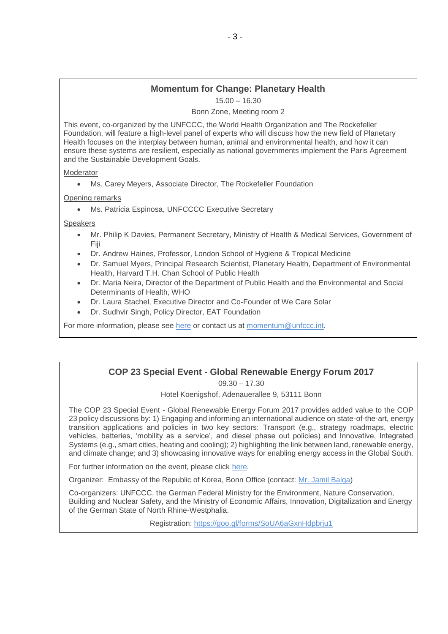# **Momentum for Change: Planetary Health**

15.00 – 16.30

Bonn Zone, Meeting room 2

This event, co-organized by the UNFCCC, the World Health Organization and The Rockefeller Foundation, will feature a high-level panel of experts who will discuss how the new field of Planetary Health focuses on the interplay between human, animal and environmental health, and how it can ensure these systems are resilient, especially as national governments implement the Paris Agreement and the Sustainable Development Goals.

#### Moderator

• Ms. Carey Meyers, Associate Director, The Rockefeller Foundation

Opening remarks

• Ms. Patricia Espinosa, UNFCCCC Executive Secretary

Speakers

- Mr. Philip K Davies, Permanent Secretary, Ministry of Health & Medical Services, Government of Fiji
- Dr. Andrew Haines, Professor, London School of Hygiene & Tropical Medicine
- Dr. Samuel Myers, Principal Research Scientist, Planetary Health, Department of Environmental Health, Harvard T.H. Chan School of Public Health
- Dr. Maria Neira, Director of the Department of Public Health and the Environmental and Social Determinants of Health, WHO
- Dr. Laura Stachel, Executive Director and Co-Founder of We Care Solar
- Dr. Sudhvir Singh, Policy Director, EAT Foundation

For more information, please see [here](https://cop23.unfccc.int/news/un-climate-solution-award-winners-at-cop23) or contact us at [momentum@unfccc.int.](mailto:momentum@unfccc.int)

## **COP 23 Special Event - Global Renewable Energy Forum 2017**

09.30 – 17.30

Hotel Koenigshof, Adenauerallee 9, 53111 Bonn

The COP 23 Special Event - Global Renewable Energy Forum 2017 provides added value to the COP 23 policy discussions by: 1) Engaging and informing an international audience on state-of-the-art, energy transition applications and policies in two key sectors: Transport (e.g., strategy roadmaps, electric vehicles, batteries, 'mobility as a service', and diesel phase out policies) and Innovative, Integrated Systems (e.g., smart cities, heating and cooling); 2) highlighting the link between land, renewable energy, and climate change; and 3) showcasing innovative ways for enabling energy access in the Global South.

For further information on the event, please click [here.](https://twitter.com/GREF2017?lang=de)

Organizer: Embassy of the Republic of Korea, Bonn Office (contact: Mr. [Jamil Balga\)](mailto:energie_bonn@mofa.go.kr)

Co-organizers: UNFCCC, the German Federal Ministry for the Environment, Nature Conservation, Building and Nuclear Safety, and the Ministry of Economic Affairs, Innovation, Digitalization and Energy of the German State of North Rhine-Westphalia.

Registration:<https://goo.gl/forms/SoUA6aGxnHdpbrju1>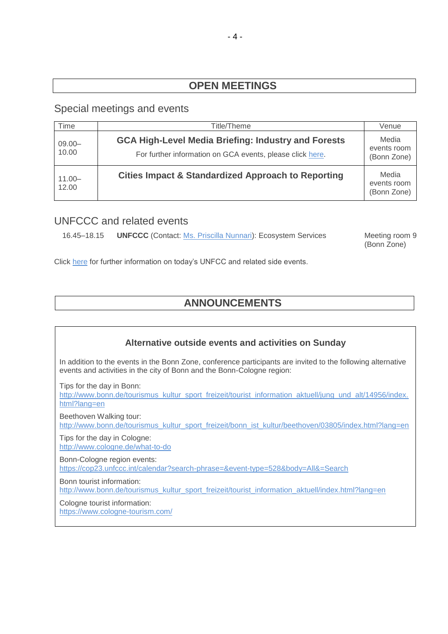# **OPEN MEETINGS**

## <span id="page-3-0"></span>Special meetings and events

<span id="page-3-1"></span>

| Time               | Title/Theme                                                                                                             | Venue                               |
|--------------------|-------------------------------------------------------------------------------------------------------------------------|-------------------------------------|
| $09.00 -$<br>10.00 | <b>GCA High-Level Media Briefing: Industry and Forests</b><br>For further information on GCA events, please click here. | Media<br>events room<br>(Bonn Zone) |
| $11.00 -$<br>12.00 | <b>Cities Impact &amp; Standardized Approach to Reporting</b>                                                           | Media<br>events room<br>(Bonn Zone) |

# UNFCCC and related events

16.45–18.15 **UNFCCC** (Contact: [Ms. Priscilla Nunnari\)](mailto:PNunnari@unfccc.int): Ecosystem Services Meeting room 9

(Bonn Zone)

Click [here](https://seors.unfccc.int/seors/reports/events_list.html?session_id=COP23) for further information on today's UNFCC and related side events.

# **ANNOUNCEMENTS**

# **Alternative outside events and activities on Sunday**  In addition to the events in the Bonn Zone, conference participants are invited to the following alternative events and activities in the city of Bonn and the Bonn-Cologne region: Tips for the day in Bonn: [http://www.bonn.de/tourismus\\_kultur\\_sport\\_freizeit/tourist\\_information\\_aktuell/jung\\_und\\_alt/14956/index.](http://www.bonn.de/tourismus_kultur_sport_freizeit/tourist_information_aktuell/jung_und_alt/14956/index.html?lang=en) [html?lang=en](http://www.bonn.de/tourismus_kultur_sport_freizeit/tourist_information_aktuell/jung_und_alt/14956/index.html?lang=en) Beethoven Walking tour: [http://www.bonn.de/tourismus\\_kultur\\_sport\\_freizeit/bonn\\_ist\\_kultur/beethoven/03805/index.html?lang=en](http://www.bonn.de/tourismus_kultur_sport_freizeit/bonn_ist_kultur/beethoven/03805/index.html?lang=en) Tips for the day in Cologne: <http://www.cologne.de/what-to-do> Bonn-Cologne region events: <https://cop23.unfccc.int/calendar?search-phrase=&event-type=528&body=All&=Search> Bonn tourist information: [http://www.bonn.de/tourismus\\_kultur\\_sport\\_freizeit/tourist\\_information\\_aktuell/index.html?lang=en](http://www.bonn.de/tourismus_kultur_sport_freizeit/tourist_information_aktuell/index.html?lang=en) Cologne tourist information: <https://www.cologne-tourism.com/>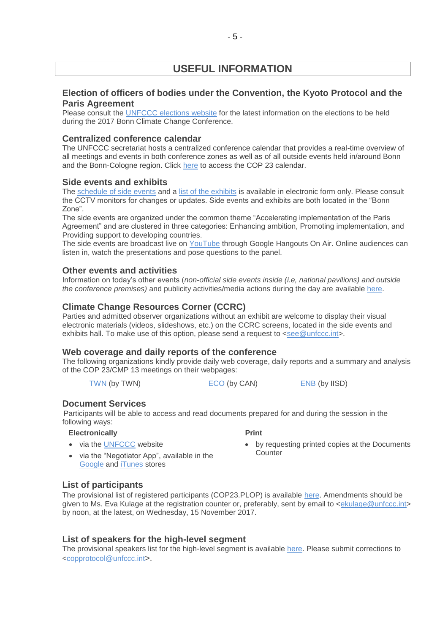# **USEFUL INFORMATION**

#### **Election of officers of bodies under the Convention, the Kyoto Protocol and the Paris Agreement**

Please consult the [UNFCCC elections website](http://unfccc.int/6558.php) for the latest information on the elections to be held during the 2017 Bonn Climate Change Conference.

#### **Centralized conference calendar**

The UNFCCC secretariat hosts a centralized conference calendar that provides a real-time overview of all meetings and events in both conference zones as well as of all outside events held in/around Bonn and the Bonn-Cologne region. Click [here](https://cop23.unfccc.int/calendar) to access the COP 23 calendar.

#### **Side events and exhibits**

The [schedule of side events](https://seors.unfccc.int/seors/reports/events_list.html?session_id=COP23) and a [list of the exhibits](https://seors.unfccc.int/seors/reports/exhibits_list.html?session_id=COP23) is available in electronic form only. Please consult the CCTV monitors for changes or updates. Side events and exhibits are both located in the "Bonn Zone".

The side events are organized under the common theme "Accelerating implementation of the Paris Agreement" and are clustered in three categories: Enhancing ambition, Promoting implementation, and Providing support to developing countries.

The side events are broadcast live on [YouTube](https://www.youtube.com/channel/UCSbUPgmmKUTzRmspKM9DpuQ?view_as=subscriber) through Google Hangouts On Air. Online audiences can listen in, watch the presentations and pose questions to the panel.

#### **Other events and activities**

Information on today's other events (*non-official side events inside (i.e, national pavilions) and outside the conference premises)* and publicity activities/media actions during the day are available [here.](https://seors.unfccc.int/seors/reports/events_list.html?session_id=CEvents)

#### **Climate Change Resources Corner (CCRC)**

Parties and admitted observer organizations without an exhibit are welcome to display their visual electronic materials (videos, slideshows, etc.) on the CCRC screens, located in the side events and exhibits hall. To make use of this option, please send a request to [<see@unfccc.int>](mailto:see@unfccc.int).

#### **Web coverage and daily reports of the conference**

The following organizations kindly provide daily web coverage, daily reports and a summary and analysis of the COP 23/CMP 13 meetings on their webpages:

 **Print** 

[TWN](https://twnetwork.org/meeting/bonn-climate-change-conference-nov-2017) (by TWN) [ECO](http://www.climatenetwork.org/event/cop-23) (by CAN) [ENB](http://enb.iisd.org/climate/cop23/) (by IISD)

#### **Document Services**

Participants will be able to access and read documents prepared for and during the session in the following ways:

#### **Electronically**

• via the [UNFCCC](http://unfccc.int/meetings/bonn_nov_2017/meeting/10084/php/view/documents.php#c) website

- by requesting printed copies at the Documents Counter
- via the "Negotiator App", available in the [Google](https://play.google.com/store/apps/details?id=unfccc.negotiator) and [iTunes](https://itunes.apple.com/app/negotiator/id568085923?ls=1&mt=8) stores

#### **List of participants**

The provisional list of registered participants (COP23.PLOP) is available [here](http://unfccc.int/resource/docs/2017/cop23/eng/PLOP.pdf). Amendments should be given to Ms. Eva Kulage at the registration counter or, preferably, sent by email to [<ekulage@unfccc.int>](mailto:ekulage@unfccc.int) by noon, at the latest, on Wednesday, 15 November 2017.

#### **List of speakers for the high-level segment**

The provisional speakers list for the high-level segment is available [here.](file://///PPSFILER01/DOCUMENTS/DAILY%20PROGRAMMES/COP%2023%20Bonn/The%20provisional%20speakers%20list%20for%20the%20high-level%20segment%20is%20available%20on%20the%20UNFCCC%20website%20at%20the%20following%20https:/cop23.unfccc.int/cop23/high-level-segment) Please submit corrections to [<copprotocol@unfccc.int](mailto:copprotocol@unfccc.int)>.